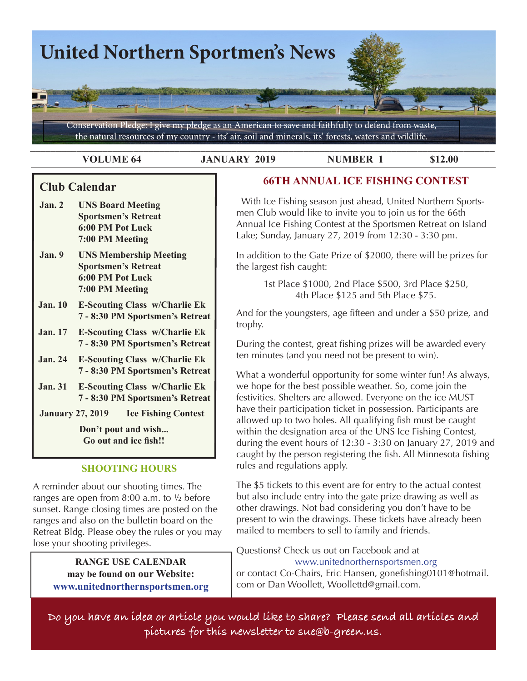

**VOLUME 64 JANUARY 2019 NUMBER 1** \$12.00

## **Club Calendar**

- **Jan. 2 UNS Board Meeting Sportsmen's Retreat 6:00 PM Pot Luck 7:00 PM Meeting**
- **Jan. 9 UNS Membership Meeting Sportsmen's Retreat 6:00 PM Pot Luck 7:00 PM Meeting**
- **Jan. 10 E-Scouting Class w/Charlie Ek 7 - 8:30 PM Sportsmen's Retreat**
- **Jan. 17 E-Scouting Class w/Charlie Ek 7 - 8:30 PM Sportsmen's Retreat**
- **Jan. 24 E-Scouting Class w/Charlie Ek 7 - 8:30 PM Sportsmen's Retreat**
- **Jan. 31 E-Scouting Class w/Charlie Ek 7 - 8:30 PM Sportsmen's Retreat**
- **January 27, 2019 Ice Fishing Contest**

**Don't pout and wish... Go out and ice fish!!**

### **SHOOTING HOURS**

A reminder about our shooting times. The ranges are open from 8:00 a.m. to ½ before sunset. Range closing times are posted on the ranges and also on the bulletin board on the Retreat Bldg. Please obey the rules or you may lose your shooting privileges.

> **RANGE USE CALENDAR may be found on our Website: www.unitednorthernsportsmen.org**

# **66TH ANNUAL ICE FISHING CONTEST**

 With Ice Fishing season just ahead, United Northern Sportsmen Club would like to invite you to join us for the 66th Annual Ice Fishing Contest at the Sportsmen Retreat on Island Lake; Sunday, January 27, 2019 from 12:30 - 3:30 pm.

In addition to the Gate Prize of \$2000, there will be prizes for the largest fish caught:

> 1st Place \$1000, 2nd Place \$500, 3rd Place \$250, 4th Place \$125 and 5th Place \$75.

And for the youngsters, age fifteen and under a \$50 prize, and trophy.

During the contest, great fishing prizes will be awarded every ten minutes (and you need not be present to win).

What a wonderful opportunity for some winter fun! As always, we hope for the best possible weather. So, come join the festivities. Shelters are allowed. Everyone on the ice MUST have their participation ticket in possession. Participants are allowed up to two holes. All qualifying fish must be caught within the designation area of the UNS Ice Fishing Contest, during the event hours of 12:30 - 3:30 on January 27, 2019 and caught by the person registering the fish. All Minnesota fishing rules and regulations apply.

The \$5 tickets to this event are for entry to the actual contest but also include entry into the gate prize drawing as well as other drawings. Not bad considering you don't have to be present to win the drawings. These tickets have already been mailed to members to sell to family and friends.

Questions? Check us out on Facebook and at www.unitednorthernsportsmen.org or contact Co-Chairs, Eric Hansen, gonefishing0101@hotmail. com or Dan Woollett, Woollettd@gmail.com.

**Do you have an idea or article you would like to share? Please send all articles and pictures for this newsletter to sue@b-green.us.**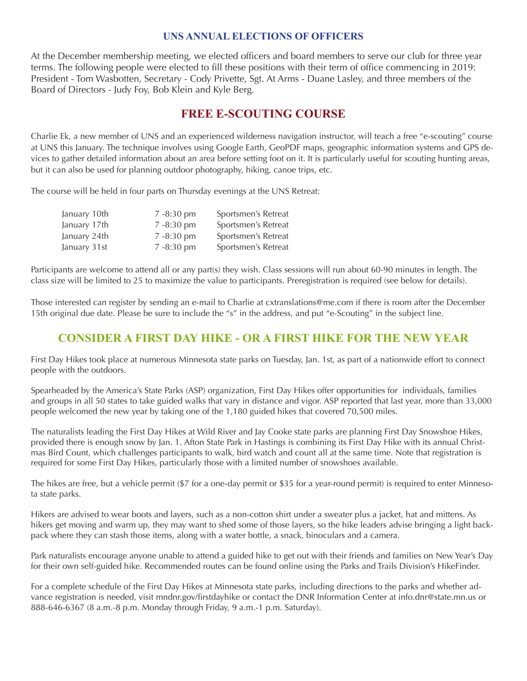### **UNS ANNUAL ELECTIONS OF OFFICERS**

At the December membership meeting, we elected officers and board members to serve our club for three year terms. The following people were elected to fill these positions with their term of office commencing in 2019: President - Tom Wasbotten, Secretary - Cody Privette, Sgt. At Arms - Duane Lasley, and three members of the Board of Directors - Judy Foy, Bob Klein and Kyle Berg.

# **FREE E-SCOUTING COURSE**

Charlie Ek, a new member of UNS and an experienced wilderness navigation instructor, will teach a free "e-scouting" course at UNS this January. The technique involves using Google Earth, GeoPDF maps, geographic information systems and GPS devices to gather detailed information about an area before setting foot on it. It is particularly useful for scouting hunting areas, but it can also be used for planning outdoor photography, hiking, canoe trips, etc.

The course will be held in four parts on Thursday evenings at the UNS Retreat:

| January 10th | $7 - 8:30$ pm | Sportsmen's Retreat |
|--------------|---------------|---------------------|
| January 17th | $7 - 8:30$ pm | Sportsmen's Retreat |
| January 24th | $7 - 8:30$ pm | Sportsmen's Retreat |
| January 31st | $7 - 8:30$ pm | Sportsmen's Retreat |

Participants are welcome to attend all or any part(s) they wish. Class sessions will run about 60-90 minutes in le class size will be limited to 25 to maximize the value to participants. Preregistration is required (see below for c

Those interested can register by sending an e-mail to Charlie at cxtranslations@me.com if there is room after the 15th original due date. Please be sure to include the "s" in the address, and put "e-Scouting" in the subject line.

# **CONSIDER A FIRST DAY HIKE - OR A FIRST HIKE FOR THE NEW Y**

First Day Hikes took place at numerous Minnesota state parks on Tuesday, Jan. 1st, as part of a nationwide effor people with the outdoors.



 $640 \times 300$  - Images may be subje

Spearheaded by the America's State Parks (ASP) organization, First Day Hikes offer opportunities for individuals and groups in all 50 states to take guided walks that vary in distance and vigor. ASP reported that last year, more people welcomed the new year by taking one of the 1,180 guided hikes that covered 70,500 miles.

The naturalists leading the First Day Hikes at Wild River and Jay Cooke state parks are planning First Day Snows provided there is enough snow by Jan. 1. Afton State Park in Hastings is combining its First Day Hike with its an mas Bird Count, which challenges participants to walk, bird watch and count all at the same time. Note that reg required for some First Day Hikes, particularly those with a limited number of snowshoes available.

The hikes are free, but a vehicle permit ( $$7$  for a one-day permit or  $$35$  for a year-round permit) is required to e ta state parks.

Hikers are advised to wear boots and layers, such as a non-cotton shirt under a sweater plus a jacket, hat and m hikers get moving and warm up, they may want to shed some of those layers, so the hike leaders advise bringing a light backpack where they can stash those items, along with a water bottle, a snack, binoculars and a camera.

Park naturalists encourage anyone unable to attend a guided hike to get out with their friends and families on New Year's Day for their own self-guided hike. Recommended routes can be found online using the Parks and Trails Division's HikeFinder.

For a complete schedule of the First Day Hikes at Minnesota state parks, including directions to the parks and whether advance registration is needed, visit mndnr.gov/firstdayhike or contact the DNR Information Center at info.dnr@state.mn.us or 888-646-6367 (8 a.m.-8 p.m. Monday through Friday, 9 a.m.-1 p.m. Saturday).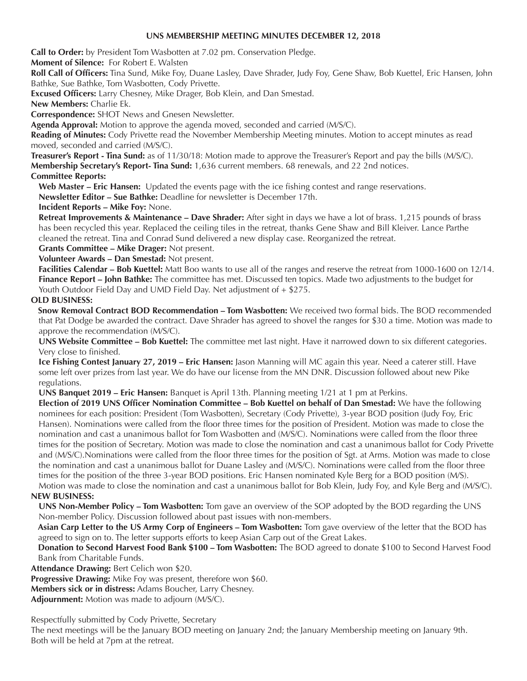#### **UNS MEMBERSHIP MEETING MINUTES DECEMBER 12, 2018**

**Call to Order:** by President Tom Wasbotten at 7.02 pm. Conservation Pledge.

**Moment of Silence:** For Robert E. Walsten

**Roll Call of Officers:** Tina Sund, Mike Foy, Duane Lasley, Dave Shrader, Judy Foy, Gene Shaw, Bob Kuettel, Eric Hansen, John Bathke, Sue Bathke, Tom Wasbotten, Cody Privette.

**Excused Officers:** Larry Chesney, Mike Drager, Bob Klein, and Dan Smestad.

**New Members:** Charlie Ek.

**Correspondence:** SHOT News and Gnesen Newsletter.

**Agenda Approval:** Motion to approve the agenda moved, seconded and carried (M/S/C).

**Reading of Minutes:** Cody Privette read the November Membership Meeting minutes. Motion to accept minutes as read moved, seconded and carried (M/S/C).

**Treasurer's Report - Tina Sund:** as of 11/30/18: Motion made to approve the Treasurer's Report and pay the bills (M/S/C). **Membership Secretary's Report- Tina Sund:** 1,636 current members. 68 renewals, and 22 2nd notices.

#### **Committee Reports:**

**Web Master – Eric Hansen:** Updated the events page with the ice fishing contest and range reservations.

**Newsletter Editor – Sue Bathke:** Deadline for newsletter is December 17th.

**Incident Reports – Mike Foy:** None.

**Retreat Improvements & Maintenance – Dave Shrader:** After sight in days we have a lot of brass. 1,215 pounds of brass has been recycled this year. Replaced the ceiling tiles in the retreat, thanks Gene Shaw and Bill Kleiver. Lance Parthe cleaned the retreat. Tina and Conrad Sund delivered a new display case. Reorganized the retreat.

**Grants Committee – Mike Drager:** Not present.

**Volunteer Awards – Dan Smestad:** Not present.

**Facilities Calendar – Bob Kuettel:** Matt Boo wants to use all of the ranges and reserve the retreat from 1000-1600 on 12/14. **Finance Report – John Bathke:** The committee has met. Discussed ten topics. Made two adjustments to the budget for Youth Outdoor Field Day and UMD Field Day. Net adjustment of + \$275.

#### **OLD BUSINESS:**

 **Snow Removal Contract BOD Recommendation – Tom Wasbotten:** We received two formal bids. The BOD recommended that Pat Dodge be awarded the contract. Dave Shrader has agreed to shovel the ranges for \$30 a time. Motion was made to approve the recommendation (M/S/C).

**UNS Website Committee – Bob Kuettel:** The committee met last night. Have it narrowed down to six different categories. Very close to finished.

**Ice Fishing Contest January 27, 2019 – Eric Hansen:** Jason Manning will MC again this year. Need a caterer still. Have some left over prizes from last year. We do have our license from the MN DNR. Discussion followed about new Pike regulations.

**UNS Banquet 2019 – Eric Hansen:** Banquet is April 13th. Planning meeting 1/21 at 1 pm at Perkins.

**Election of 2019 UNS Officer Nomination Committee – Bob Kuettel on behalf of Dan Smestad:** We have the following nominees for each position: President (Tom Wasbotten), Secretary (Cody Privette), 3-year BOD position (Judy Foy, Eric Hansen). Nominations were called from the floor three times for the position of President. Motion was made to close the nomination and cast a unanimous ballot for Tom Wasbotten and (M/S/C). Nominations were called from the floor three times for the position of Secretary. Motion was made to close the nomination and cast a unanimous ballot for Cody Privette and (M/S/C).Nominations were called from the floor three times for the position of Sgt. at Arms. Motion was made to close the nomination and cast a unanimous ballot for Duane Lasley and (M/S/C). Nominations were called from the floor three times for the position of the three 3-year BOD positions. Eric Hansen nominated Kyle Berg for a BOD position (M/S). Motion was made to close the nomination and cast a unanimous ballot for Bob Klein, Judy Foy, and Kyle Berg and (M/S/C).

#### **NEW BUSINESS:**

**UNS Non-Member Policy – Tom Wasbotten:** Tom gave an overview of the SOP adopted by the BOD regarding the UNS Non-member Policy. Discussion followed about past issues with non-members.

 **Asian Carp Letter to the US Army Corp of Engineers – Tom Wasbotten:** Tom gave overview of the letter that the BOD has agreed to sign on to. The letter supports efforts to keep Asian Carp out of the Great Lakes.

 **Donation to Second Harvest Food Bank \$100 – Tom Wasbotten:** The BOD agreed to donate \$100 to Second Harvest Food Bank from Charitable Funds.

**Attendance Drawing:** Bert Celich won \$20.

**Progressive Drawing:** Mike Foy was present, therefore won \$60.

**Members sick or in distress:** Adams Boucher, Larry Chesney.

**Adjournment:** Motion was made to adjourn (M/S/C).

Respectfully submitted by Cody Privette, Secretary

The next meetings will be the January BOD meeting on January 2nd; the January Membership meeting on January 9th. Both will be held at 7pm at the retreat.